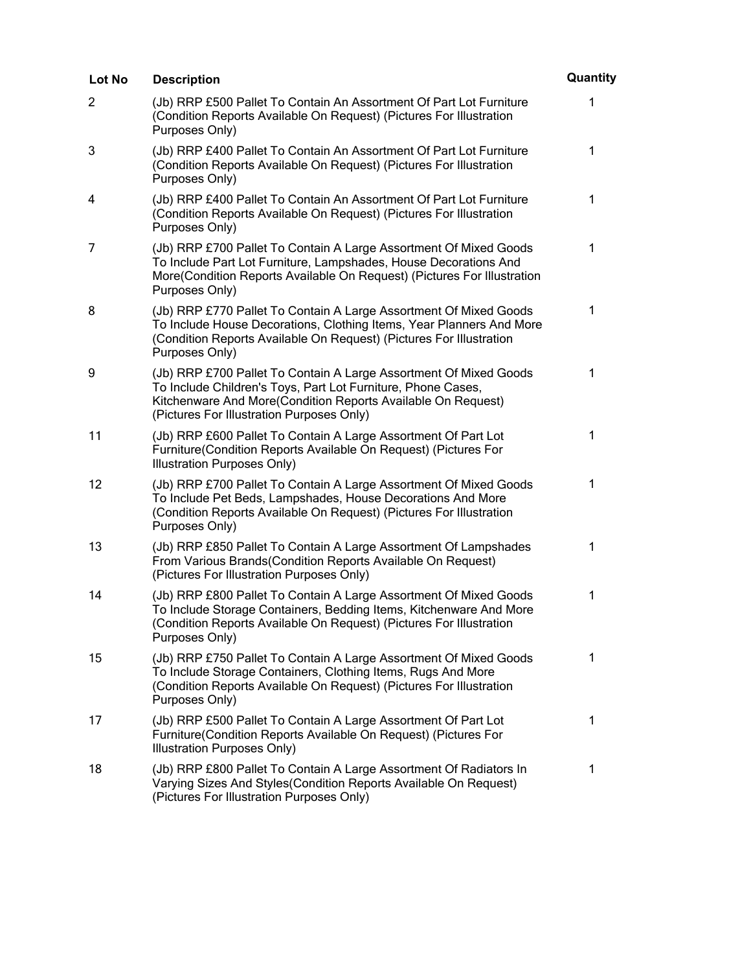| Lot No         | <b>Description</b>                                                                                                                                                                                                                             | Quantity     |
|----------------|------------------------------------------------------------------------------------------------------------------------------------------------------------------------------------------------------------------------------------------------|--------------|
| $\overline{2}$ | (Jb) RRP £500 Pallet To Contain An Assortment Of Part Lot Furniture<br>(Condition Reports Available On Request) (Pictures For Illustration<br>Purposes Only)                                                                                   | 1            |
| 3              | (Jb) RRP £400 Pallet To Contain An Assortment Of Part Lot Furniture<br>(Condition Reports Available On Request) (Pictures For Illustration<br>Purposes Only)                                                                                   | $\mathbf 1$  |
| 4              | (Jb) RRP £400 Pallet To Contain An Assortment Of Part Lot Furniture<br>(Condition Reports Available On Request) (Pictures For Illustration<br>Purposes Only)                                                                                   | $\mathbf 1$  |
| 7              | (Jb) RRP £700 Pallet To Contain A Large Assortment Of Mixed Goods<br>To Include Part Lot Furniture, Lampshades, House Decorations And<br>More(Condition Reports Available On Request) (Pictures For Illustration<br>Purposes Only)             | $\mathbf 1$  |
| 8              | (Jb) RRP £770 Pallet To Contain A Large Assortment Of Mixed Goods<br>To Include House Decorations, Clothing Items, Year Planners And More<br>(Condition Reports Available On Request) (Pictures For Illustration<br>Purposes Only)             | 1            |
| 9              | (Jb) RRP £700 Pallet To Contain A Large Assortment Of Mixed Goods<br>To Include Children's Toys, Part Lot Furniture, Phone Cases,<br>Kitchenware And More(Condition Reports Available On Request)<br>(Pictures For Illustration Purposes Only) | $\mathbf{1}$ |
| 11             | (Jb) RRP £600 Pallet To Contain A Large Assortment Of Part Lot<br>Furniture(Condition Reports Available On Request) (Pictures For<br>Illustration Purposes Only)                                                                               | 1            |
| 12             | (Jb) RRP £700 Pallet To Contain A Large Assortment Of Mixed Goods<br>To Include Pet Beds, Lampshades, House Decorations And More<br>(Condition Reports Available On Request) (Pictures For Illustration<br>Purposes Only)                      | $\mathbf 1$  |
| 13             | (Jb) RRP £850 Pallet To Contain A Large Assortment Of Lampshades<br>From Various Brands(Condition Reports Available On Request)<br>(Pictures For Illustration Purposes Only)                                                                   | 1            |
| 14             | (Jb) RRP £800 Pallet To Contain A Large Assortment Of Mixed Goods<br>To Include Storage Containers, Bedding Items, Kitchenware And More<br>(Condition Reports Available On Request) (Pictures For Illustration<br>Purposes Only)               | $\mathbf 1$  |
| 15             | (Jb) RRP £750 Pallet To Contain A Large Assortment Of Mixed Goods<br>To Include Storage Containers, Clothing Items, Rugs And More<br>(Condition Reports Available On Request) (Pictures For Illustration<br>Purposes Only)                     | $\mathbf 1$  |
| 17             | (Jb) RRP £500 Pallet To Contain A Large Assortment Of Part Lot<br>Furniture(Condition Reports Available On Request) (Pictures For<br>Illustration Purposes Only)                                                                               | 1            |
| 18             | (Jb) RRP £800 Pallet To Contain A Large Assortment Of Radiators In<br>Varying Sizes And Styles (Condition Reports Available On Request)<br>(Pictures For Illustration Purposes Only)                                                           | 1            |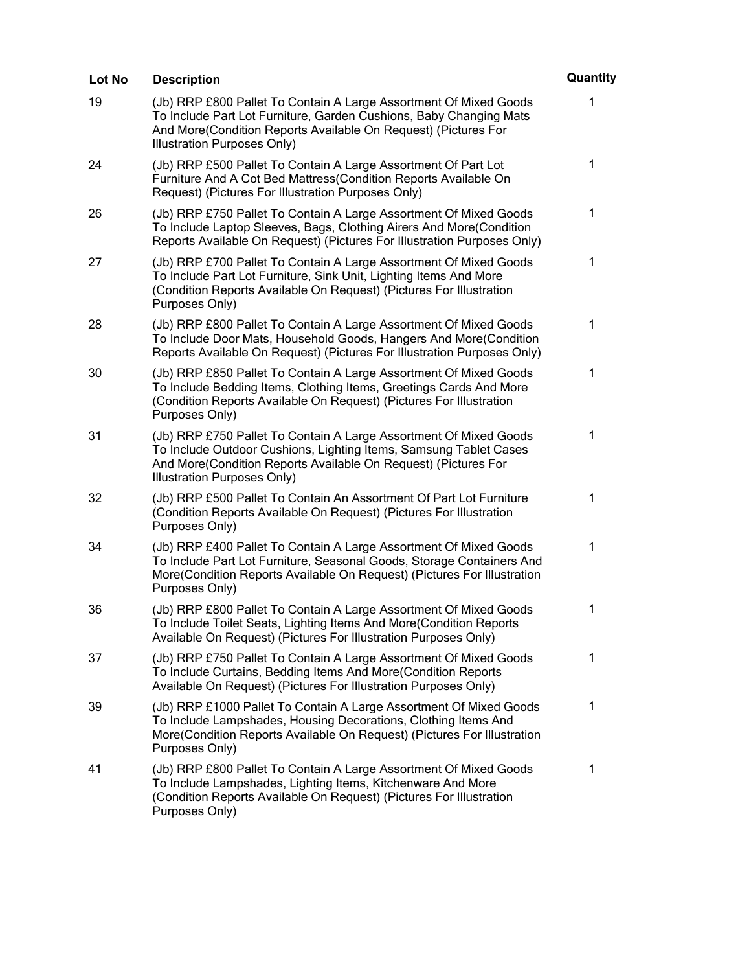| Lot No | <b>Description</b>                                                                                                                                                                                                                       | Quantity |
|--------|------------------------------------------------------------------------------------------------------------------------------------------------------------------------------------------------------------------------------------------|----------|
| 19     | (Jb) RRP £800 Pallet To Contain A Large Assortment Of Mixed Goods<br>To Include Part Lot Furniture, Garden Cushions, Baby Changing Mats<br>And More(Condition Reports Available On Request) (Pictures For<br>Illustration Purposes Only) | 1        |
| 24     | (Jb) RRP £500 Pallet To Contain A Large Assortment Of Part Lot<br>Furniture And A Cot Bed Mattress (Condition Reports Available On<br>Request) (Pictures For Illustration Purposes Only)                                                 | 1        |
| 26     | (Jb) RRP £750 Pallet To Contain A Large Assortment Of Mixed Goods<br>To Include Laptop Sleeves, Bags, Clothing Airers And More(Condition<br>Reports Available On Request) (Pictures For Illustration Purposes Only)                      | 1        |
| 27     | (Jb) RRP £700 Pallet To Contain A Large Assortment Of Mixed Goods<br>To Include Part Lot Furniture, Sink Unit, Lighting Items And More<br>(Condition Reports Available On Request) (Pictures For Illustration<br>Purposes Only)          | 1        |
| 28     | (Jb) RRP £800 Pallet To Contain A Large Assortment Of Mixed Goods<br>To Include Door Mats, Household Goods, Hangers And More(Condition<br>Reports Available On Request) (Pictures For Illustration Purposes Only)                        | 1        |
| 30     | (Jb) RRP £850 Pallet To Contain A Large Assortment Of Mixed Goods<br>To Include Bedding Items, Clothing Items, Greetings Cards And More<br>(Condition Reports Available On Request) (Pictures For Illustration<br>Purposes Only)         | 1        |
| 31     | (Jb) RRP £750 Pallet To Contain A Large Assortment Of Mixed Goods<br>To Include Outdoor Cushions, Lighting Items, Samsung Tablet Cases<br>And More(Condition Reports Available On Request) (Pictures For<br>Illustration Purposes Only)  | 1        |
| 32     | (Jb) RRP £500 Pallet To Contain An Assortment Of Part Lot Furniture<br>(Condition Reports Available On Request) (Pictures For Illustration<br>Purposes Only)                                                                             | 1        |
| 34     | (Jb) RRP £400 Pallet To Contain A Large Assortment Of Mixed Goods<br>To Include Part Lot Furniture, Seasonal Goods, Storage Containers And<br>More(Condition Reports Available On Request) (Pictures For Illustration<br>Purposes Only)  | 1        |
| 36     | (Jb) RRP £800 Pallet To Contain A Large Assortment Of Mixed Goods<br>To Include Toilet Seats, Lighting Items And More(Condition Reports<br>Available On Request) (Pictures For Illustration Purposes Only)                               | 1        |
| 37     | (Jb) RRP £750 Pallet To Contain A Large Assortment Of Mixed Goods<br>To Include Curtains, Bedding Items And More(Condition Reports<br>Available On Request) (Pictures For Illustration Purposes Only)                                    | 1        |
| 39     | (Jb) RRP £1000 Pallet To Contain A Large Assortment Of Mixed Goods<br>To Include Lampshades, Housing Decorations, Clothing Items And<br>More(Condition Reports Available On Request) (Pictures For Illustration<br>Purposes Only)        | 1        |
| 41     | (Jb) RRP £800 Pallet To Contain A Large Assortment Of Mixed Goods<br>To Include Lampshades, Lighting Items, Kitchenware And More<br>(Condition Reports Available On Request) (Pictures For Illustration<br>Purposes Only)                | 1        |